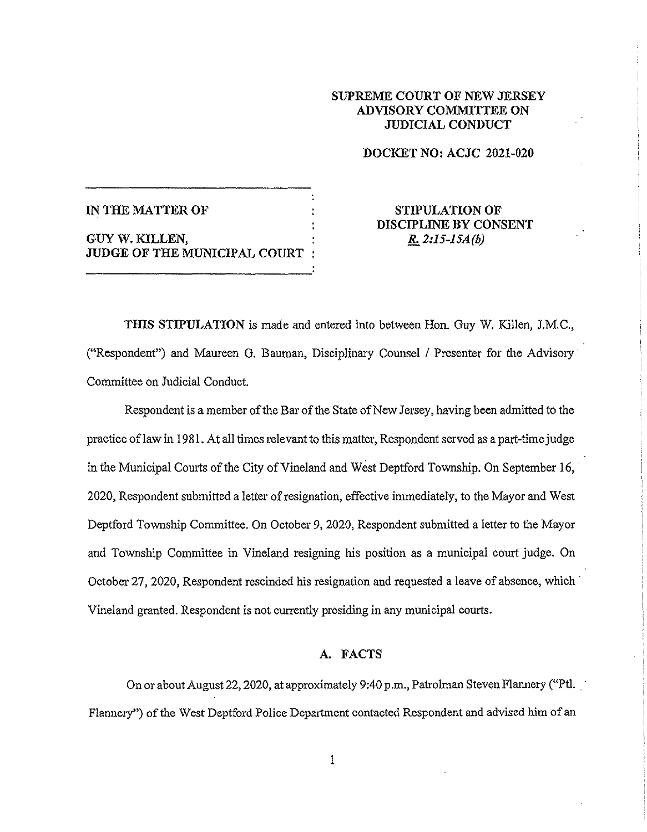# **SUPREME COURT OF NEW JERSEY ADVISORY COMMITTEE ON JUDICIAL CONDUCT**

## **DOCKET NO: ACJC 2021-020**

| IN THE MATTER OF                                 |  |
|--------------------------------------------------|--|
| GUY W. KILLEN.<br>JUDGE OF THE MUNICIPAL COURT : |  |

# **STIPULATION OF DISCIPLINE BY CONSENT**  *R. 2:15-JSA(h)*

**THIS STIPULATION** is made and entered into between Hon. Guy W. Killen, J.M.C., ("Respondent") and Maureen G. Bauman, Disciplinary Counsel / Presenter for the Advisory Committee on Judicial Conduct.

Respondent is a member of the Bar of the State of New Jersey, having been admitted to the practice of law in 1981. At all times relevant to this matter, Respondent served as a part-time judge in the Municipal Courts of the City of Vineland and West Deptford Township. On September 16, 2020, Respondent submitted a letter of resignation, effective immediately, to the Mayor and West Deptford Township Committee. On October 9, 2020, Respondent submitted a letter to the Mayor and Township Committee in Vineland resigning his position as a municipal court judge. On October 27, 2020, Respondent rescinded his resignation and requested a leave of absence, which Vineland granted. Respondent is not currently presiding in any municipal courts.

### **A. FACTS**

On or about August 22, 2020, at approximately 9:40 p.m., Patrolman Steven Flannery ("Ptl. Flannery") of the West Deptford Police Department contacted Respondent and advised him of an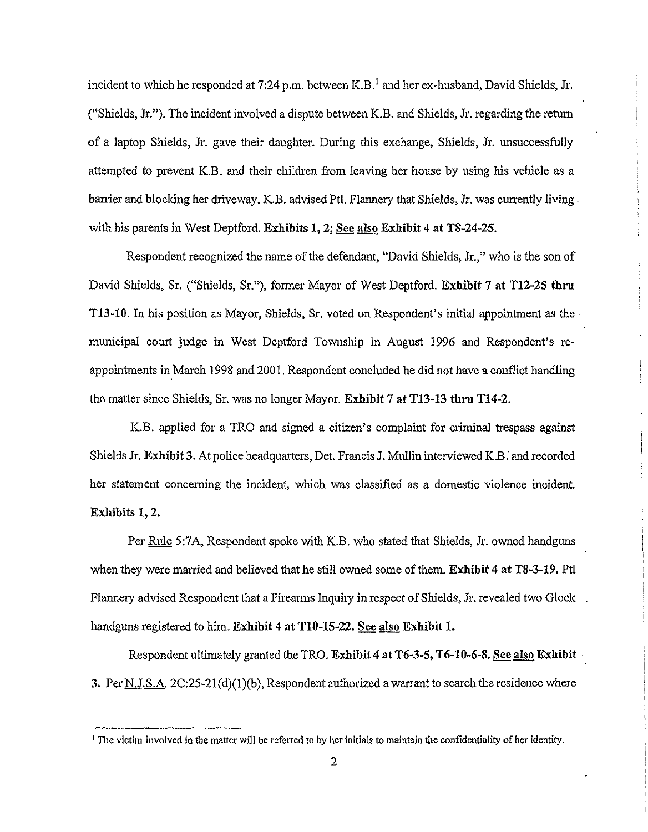incident to which he responded at 7:24 p.m. between K.B.<sup>1</sup> and her ex-husband, David Shields, Jr. ("Shields, Jr."). The incident involved a dispute between K.B. and Shields, Jr. regarding the return of a laptop Shields, Jr. gave their daughter. During this exchange, Shields, Jr. unsuccessfully attempted to prevent K.B. and their children from leaving her house by using his vehicle as a ban'ier and blocking her driveway. K.B. advised Pt!. Flannery that Shields, Jr. was currently living. with his parents in West Deptford. **Exhibits 1, 2; See also Exhibit 4 at TS-24-25.** 

Respondent recognized the name of the defendant, "David Shields, Jr.," who is the son of David Shields, Sr. ("Shields, Sr."), former Mayor of West Deptford. **Exhibit** 7 **at T12-25 thru T13-10.** In his position as Mayor, Shields, Sr. voted on Respondent's initial appointment as the municipal court judge in West Deptford Township in August 1996 and Respondent's reappointments in March 1998 and 2001. Respondent concluded he did not have a conflict handling the matter since Shields, Sr. was no longer Mayor. **Exhibit** 7 **at Tl3-13 thru T14-2.** 

K.B. applied for a TRO and signed a citizen's complaint for criminal trespass against Shields Jr. **Exhibit 3.** At police headquarters, Det. Francis J. Mullin interviewed K.B: and recorded her statement concerning the incident, which was classified as a domestic violence incident. **Exhibits 1, 2.** 

Per Rule 5:7A, Respondent spoke with K.B. who stated that Shields, Jr. owned handguns when they were married and believed that he still owned some of them. **Exhibit** 4 **at TS-3-19.** Ptl Flannery advised Respondent that a Firearms Inquiry in respect of Shields, Jr. revealed two Glock handguns registered to him. Exhibit 4 at T10-15-22. See also Exhibit 1.

Respondent ultimately granted the TRO. Exhibit 4 at T6-3-5, T6-10-6-8. See also Exhibit 3. Per  $N.J.S.A.$  2C:25-21(d)(1)(b), Respondent authorized a warrant to search the residence where

 $<sup>1</sup>$  The victim involved in the matter will be referred to by her initials to maintain the confidentiality of her identity.</sup>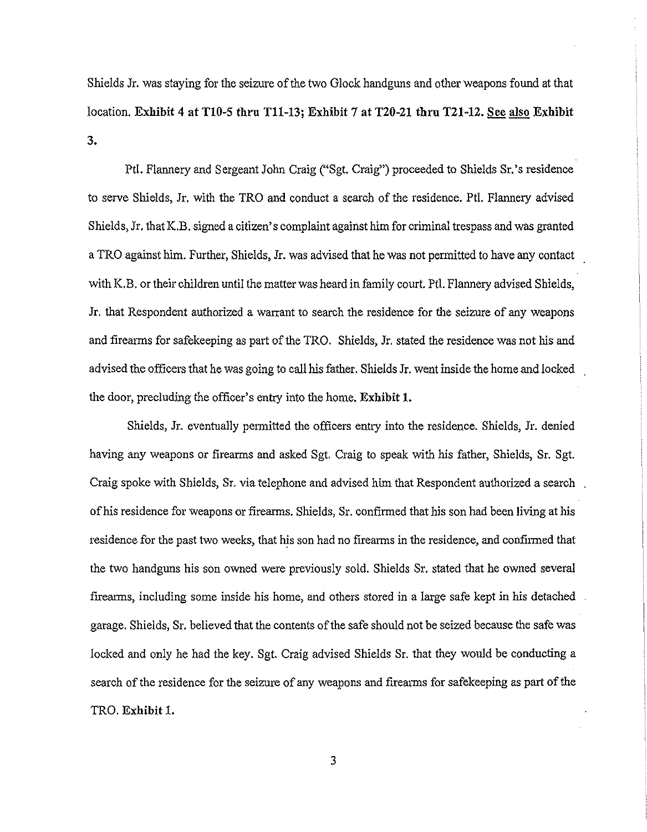Shields Jr. was staying for the seizure of the two Glock handguns and other weapons found at that location. **Exhibit 4 at Tl0-5 thru Tll-13; Exhibit** 7 **at T20-21 tbru T21-12. See also Exhibit 3.** 

Pt!. Flannery and Sergeant John Craig ("Sgt. Craig") proceeded to Shields Sr. 's residence to serve Shields, Jr. with the TRO and conduct a search of the residence. Ptl. Flannery advised Shields, Jr. that K.B. signed a citizen's complaint against him for criminal trespass and was granted a TRO against him. Further, Shields, Jr. was advised that he was not permitted to have any contact with K.B. or their children until the matter was heard in family court. Ptl. Flannery advised Shields, Jr. that Respondent authorized a warrant to search the residence for the seizure of any weapons and firearms for safekeeping as part of the TRO. Shields, Jr. stated the residence was not his and advised the officers that he was going to call his father. Shields Jr. went inside the home and locked the door, precluding the officer's entry into the home. **Exhibit 1.** 

Shields, Jr. eventually permitted the officers entry into the residence. Shields, Jr. denied having any weapons or firearms and asked Sgt. Craig to speak with his father, Shields, Sr. Sgt. Craig spoke with Shields, Sr. via telephone and advised him that Respondent authorized a search of his residence for weapons or firearms. Shields, Sr. confirmed that his son had been living at his residence for the past two weeks, that his son had no firearms in the residence, and confirmed that the two handguns his son owned were previously sold. Shields Sr. stated that he owned several firearms, including some inside his home, and others stored in a large safe kept in his detached garage. Shields, Sr. believed that the contents of the safe should not be seized because the safe was locked and only he had the key. Sgt. Craig advised Shields Sr. that they would be conducting a search of the residence for the seizure of any weapons and firearms for safekeeping as part of the TRO. **Exhibit** 1.

3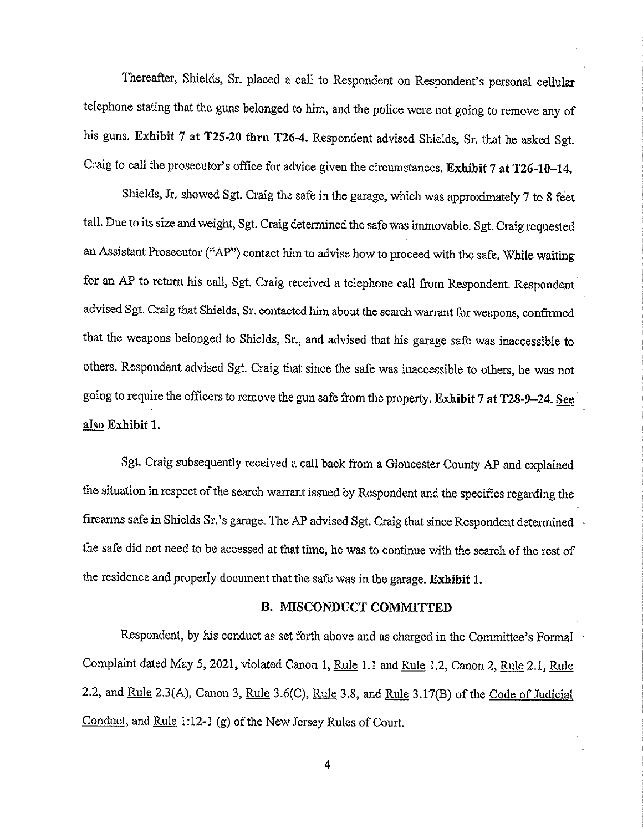Thereafter, Shields, Sr. placed a call to Respondent on Respondent's personal cellular telephone stating that the guns belonged to him, and the police were not going to remove any of his guns. Exhibit 7 at T25-20 thru T26-4. Respondent advised Shields, Sr. that he asked Sgt. Craig to call the prosecutor's office for advice given the circumstances. Exhibit 7 at T26-10-14.

Shields, Jr. showed Sgt. Craig the safe in the garage, which was approximately 7 to 8 feet tall. Due to its size and weight, Sgt. Craig determined the safe was immovable. Sgt. Craig requested an Assistant Prosecutor ("AP") contact him to advise how to proceed with the safe. While waiting for an AP to return his call, Sgt. Craig received a telephone call from Respondent. Respondent advised Sgt. Craig that Shields, Sr. contacted him about the search warrant for weapons, confirmed that the weapons belonged to Shields, Sr., and advised that his garage safe was inaccessible to others. Respondent advised Sgt. Craig that since the safe was inaccessible to others, he was not going to require the officers to remove the gun safe from the property. Exhibit 7 at T28-9-24. See also Exhibit 1.

Sgt. Craig subsequently received a call back from a Gloucester County AP and explained the situation in respect of the search warrant issued by Respondent and the specifics regarding the firearms safe in Shields Sr.'s garage. The AP advised Sgt. Craig that since Respondent determined the safe did not need to be accessed at that time, he was to continue with the search of the rest of the residence and properly document that the safe was in the garage. **Exhibit** 1.

#### **B. MISCONDUCT COMMITTED**

Respondent, by his conduct as set forth above and as charged in the Committee's Formal Complaint dated May 5, 2021, violated Canon 1, Rule 1.1 and Rule 1.2, Canon 2, Rule 2.1, Rule 2.2, and Rule 2.3(A), Canon 3, Rule 3.6(C), Rule 3.8, and Rule 3.17(B) of the Code of Judicial Conduct, and Rule 1:12-1 (g) of the New Jersey Rules of Court.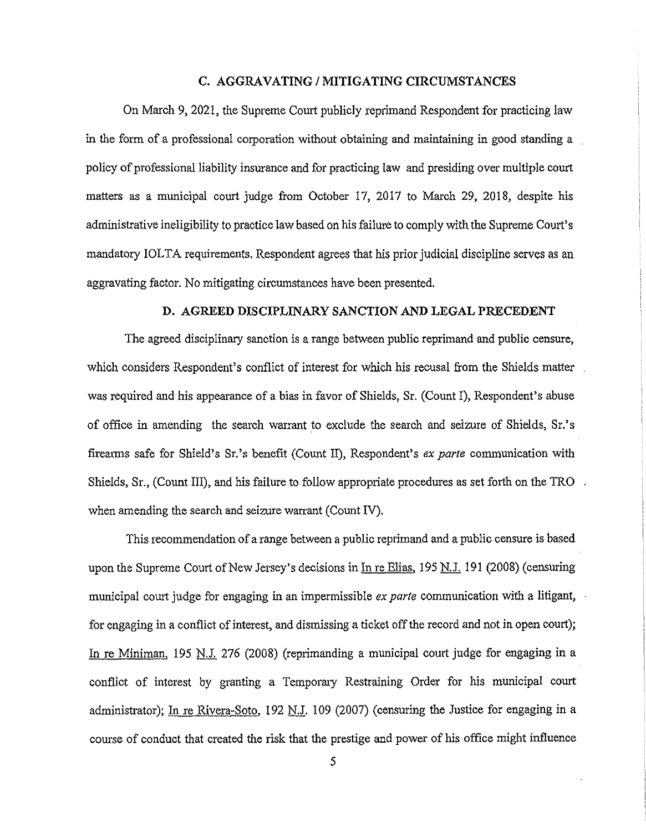#### **C. AGGRAVATING/ MITIGATING CIRCUMSTANCES**

On March 9, 2021, the Supreme Court publicly reprimand Respondent for practicing law in the form of a professional corporation without obtaining and maintaining in good standing a policy of professional liability insurance and for practicing law and presiding over multiple court matters as a municipal court judge from October 17, 2017 to March 29, 2018, despite his administrative ineligibility to practice law based on his failure to comply with the Supreme Court's mandatory IOLTA requirements. Respondent agrees that his prior judicial discipline serves as an aggravating factor. No mitigating circumstances have been presented.

### **D. AGREED DISCIPLINARY SANCTION AND LEGAL PRECEDENT**

The agreed disciplinary sanction is a range between public reprimand and public censure, which considers Respondent's conflict of interest for which his recusal from the Shields matter was required and his appearance of a bias in favor of Shields, Sr. (Count I), Respondent's abuse of office in amending the search warrant to exclude the search and seizure of Shields, Sr.' s firemms safe for Shield's Sr.'s benefit (Count II), Respondent's *ex parte* communication with Shields,  $Sr.,$  (Count III), and his failure to follow appropriate procedures as set forth on the TRO. when amending the search and seizure warrant (Count IV).

This recommendation of a range between a public reprimand and a public censure is based upon the Supreme Court of New Jersey's decisions in In re Elias, 195 N.J. 191 (2008) (censuring municipal court judge for engaging in an impermissible *ex parte* communication with a litigant, for engaging in a conflict of interest, and dismissing a ticket off the record and not in open court); In re Miniman, 195 N.J. 276 (2008) (reprimanding a municipal court judge for engaging in a conflict of interest by granting a Temporary Restraining Order for his municipal court administrator); In re Rivera-Soto, 192 N.J. 109 (2007) (censuring the Justice for engaging in a course of conduct that created the risk that the prestige and power of his office might influence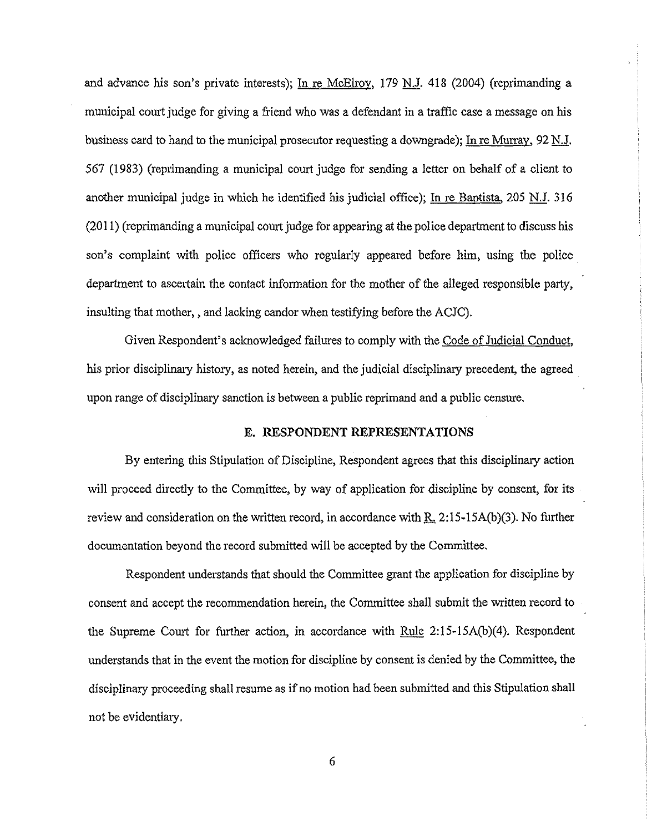and advance his son's private interests); In re McElroy, 179 N.J. 418 (2004) (reprimanding a municipal comt judge for giving a friend who was a defendant in a traffic case a message on his business card to hand to the municipal prosecutor requesting a downgrade); In re Murray, 92 N.J. 567 (1983) (reprimanding a municipal court judge for sending a letter on behalf of a client to another municipal judge in which he identified his judicial office); In re Baptista,  $205$  N.J. 316 (2011) (repiimanding a municipal comt judge for appearing at the police department to discuss his son's complaint with police officers who regularly appeared before him, using the police department to ascertain the contact information for the mother of the alleged responsible party, insulting that mother, , and lacking candor when testifying before the ACJC).

Given Respondent's acknowledged failures to comply with the Code of Judicial Conduct, his prior disciplinary history, as noted herein, and the judicial disciplinary precedent, the agreed upon range of disciplinary sanction is between a public reprimand and a public censure.

#### E. **RESPONDENT REPRESENTATIONS**

By entering this Stipulation of Discipline, Respondent agrees that this disciplinary action will proceed directly to the Committee, by way of application for discipline by consent, for its review and consideration on the written record, in accordance with  $R$ , 2:15-15A(b)(3). No further documentation beyond the record submitted will be accepted by the Committee.

Respondent understands that should the Committee grant the application for discipline by consent and accept the recommendation herein, the Committee shall submit the written record to the Supreme Court for further action, in accordance with Rule  $2:15-15A(b)(4)$ . Respondent understands that in the event the motion for discipline by consent is denied by the Committee, the disciplinary proceeding shall resume as if no motion had been submitted and this Stipulation shall not be evidentiaiy.